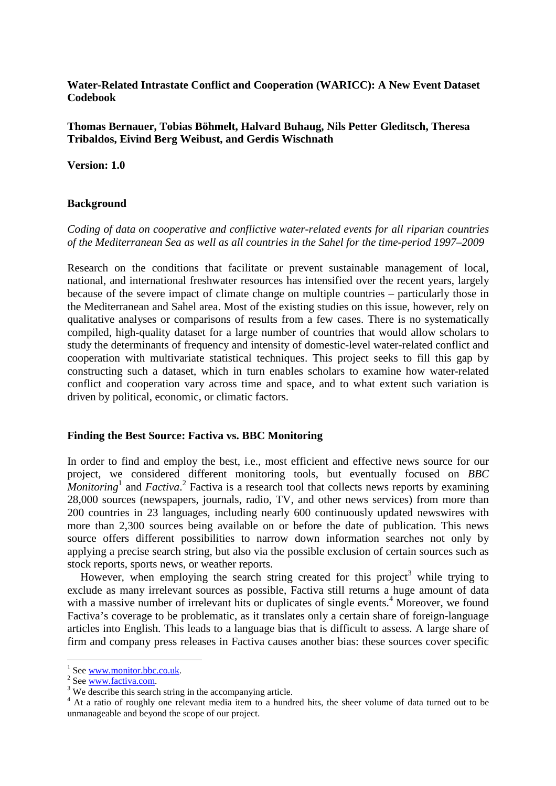**Water-Related Intrastate Conflict and Cooperation (WARICC): A New Event Dataset Codebook** 

**Thomas Bernauer, Tobias Böhmelt, Halvard Buhaug, Nils Petter Gleditsch, Theresa Tribaldos, Eivind Berg Weibust, and Gerdis Wischnath** 

**Version: 1.0** 

#### **Background**

## *Coding of data on cooperative and conflictive water-related events for all riparian countries of the Mediterranean Sea as well as all countries in the Sahel for the time-period 1997–2009*

Research on the conditions that facilitate or prevent sustainable management of local, national, and international freshwater resources has intensified over the recent years, largely because of the severe impact of climate change on multiple countries – particularly those in the Mediterranean and Sahel area. Most of the existing studies on this issue, however, rely on qualitative analyses or comparisons of results from a few cases. There is no systematically compiled, high-quality dataset for a large number of countries that would allow scholars to study the determinants of frequency and intensity of domestic-level water-related conflict and cooperation with multivariate statistical techniques. This project seeks to fill this gap by constructing such a dataset, which in turn enables scholars to examine how water-related conflict and cooperation vary across time and space, and to what extent such variation is driven by political, economic, or climatic factors.

#### **Finding the Best Source: Factiva vs. BBC Monitoring**

In order to find and employ the best, i.e., most efficient and effective news source for our project, we considered different monitoring tools, but eventually focused on *BBC Monitoring*<sup>1</sup> and *Factiva*.<sup>2</sup> Factiva is a research tool that collects news reports by examining 28,000 sources (newspapers, journals, radio, TV, and other news services) from more than 200 countries in 23 languages, including nearly 600 continuously updated newswires with more than 2,300 sources being available on or before the date of publication. This news source offers different possibilities to narrow down information searches not only by applying a precise search string, but also via the possible exclusion of certain sources such as stock reports, sports news, or weather reports.

However, when employing the search string created for this project<sup>3</sup> while trying to exclude as many irrelevant sources as possible, Factiva still returns a huge amount of data with a massive number of irrelevant hits or duplicates of single events.<sup>4</sup> Moreover, we found Factiva's coverage to be problematic, as it translates only a certain share of foreign-language articles into English. This leads to a language bias that is difficult to assess. A large share of firm and company press releases in Factiva causes another bias: these sources cover specific

 $\overline{a}$ 

<sup>1</sup> See www.monitor.bbc.co.uk.

<sup>&</sup>lt;sup>2</sup> See www.factiva.com.

<sup>&</sup>lt;sup>3</sup> We describe this search string in the accompanying article.

<sup>&</sup>lt;sup>4</sup> At a ratio of roughly one relevant media item to a hundred hits, the sheer volume of data turned out to be unmanageable and beyond the scope of our project.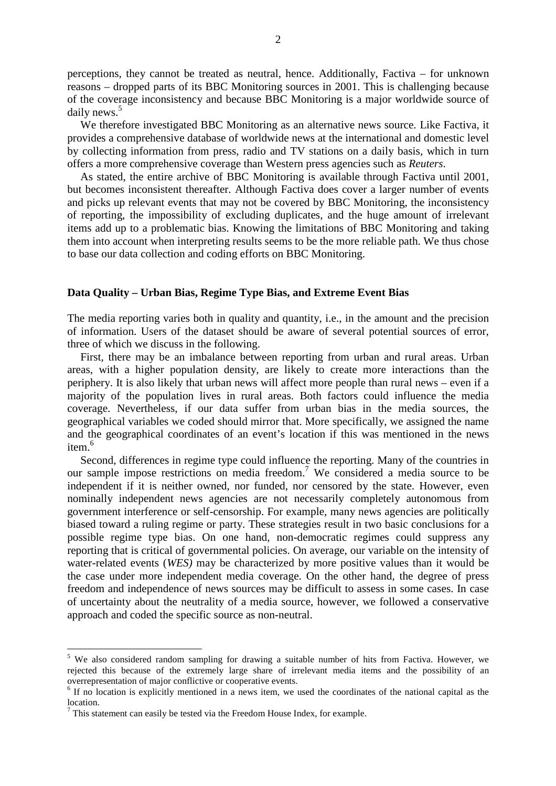perceptions, they cannot be treated as neutral, hence. Additionally, Factiva – for unknown reasons – dropped parts of its BBC Monitoring sources in 2001. This is challenging because of the coverage inconsistency and because BBC Monitoring is a major worldwide source of daily news.<sup>5</sup>

We therefore investigated BBC Monitoring as an alternative news source. Like Factiva, it provides a comprehensive database of worldwide news at the international and domestic level by collecting information from press, radio and TV stations on a daily basis, which in turn offers a more comprehensive coverage than Western press agencies such as *Reuters*.

As stated, the entire archive of BBC Monitoring is available through Factiva until 2001, but becomes inconsistent thereafter. Although Factiva does cover a larger number of events and picks up relevant events that may not be covered by BBC Monitoring, the inconsistency of reporting, the impossibility of excluding duplicates, and the huge amount of irrelevant items add up to a problematic bias. Knowing the limitations of BBC Monitoring and taking them into account when interpreting results seems to be the more reliable path. We thus chose to base our data collection and coding efforts on BBC Monitoring.

#### **Data Quality – Urban Bias, Regime Type Bias, and Extreme Event Bias**

The media reporting varies both in quality and quantity, i.e., in the amount and the precision of information. Users of the dataset should be aware of several potential sources of error, three of which we discuss in the following.

First, there may be an imbalance between reporting from urban and rural areas. Urban areas, with a higher population density, are likely to create more interactions than the periphery. It is also likely that urban news will affect more people than rural news – even if a majority of the population lives in rural areas. Both factors could influence the media coverage. Nevertheless, if our data suffer from urban bias in the media sources, the geographical variables we coded should mirror that. More specifically, we assigned the name and the geographical coordinates of an event's location if this was mentioned in the news item.<sup>6</sup>

Second, differences in regime type could influence the reporting. Many of the countries in our sample impose restrictions on media freedom.<sup>7</sup> We considered a media source to be independent if it is neither owned, nor funded, nor censored by the state. However, even nominally independent news agencies are not necessarily completely autonomous from government interference or self-censorship. For example, many news agencies are politically biased toward a ruling regime or party. These strategies result in two basic conclusions for a possible regime type bias. On one hand, non-democratic regimes could suppress any reporting that is critical of governmental policies. On average, our variable on the intensity of water-related events (*WES)* may be characterized by more positive values than it would be the case under more independent media coverage. On the other hand, the degree of press freedom and independence of news sources may be difficult to assess in some cases. In case of uncertainty about the neutrality of a media source, however, we followed a conservative approach and coded the specific source as non-neutral.

 $\overline{a}$ 

<sup>&</sup>lt;sup>5</sup> We also considered random sampling for drawing a suitable number of hits from Factiva. However, we rejected this because of the extremely large share of irrelevant media items and the possibility of an overrepresentation of major conflictive or cooperative events.

<sup>&</sup>lt;sup>6</sup> If no location is explicitly mentioned in a news item, we used the coordinates of the national capital as the location.

 $7$  This statement can easily be tested via the Freedom House Index, for example.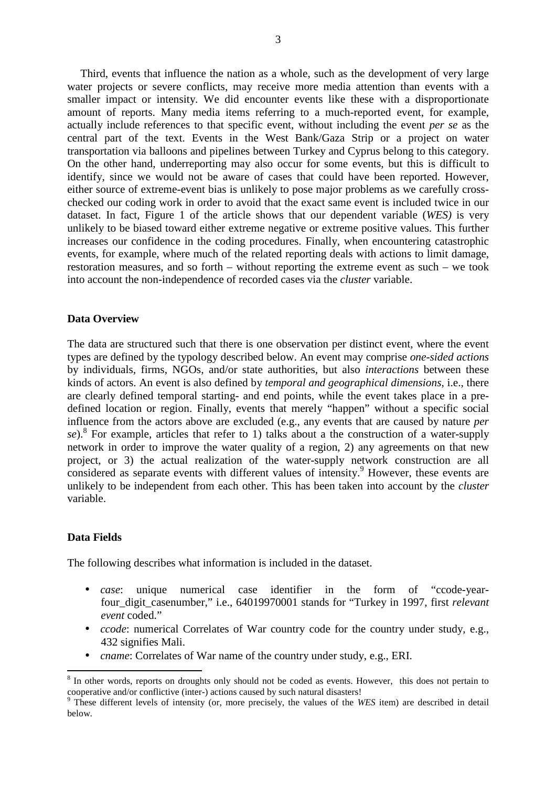Third, events that influence the nation as a whole, such as the development of very large water projects or severe conflicts, may receive more media attention than events with a smaller impact or intensity. We did encounter events like these with a disproportionate amount of reports. Many media items referring to a much-reported event, for example, actually include references to that specific event, without including the event *per se* as the central part of the text. Events in the West Bank/Gaza Strip or a project on water transportation via balloons and pipelines between Turkey and Cyprus belong to this category. On the other hand, underreporting may also occur for some events, but this is difficult to identify, since we would not be aware of cases that could have been reported. However, either source of extreme-event bias is unlikely to pose major problems as we carefully crosschecked our coding work in order to avoid that the exact same event is included twice in our dataset. In fact, Figure 1 of the article shows that our dependent variable (*WES)* is very unlikely to be biased toward either extreme negative or extreme positive values. This further increases our confidence in the coding procedures. Finally, when encountering catastrophic events, for example, where much of the related reporting deals with actions to limit damage, restoration measures, and so forth – without reporting the extreme event as such – we took into account the non-independence of recorded cases via the *cluster* variable.

# **Data Overview**

The data are structured such that there is one observation per distinct event, where the event types are defined by the typology described below. An event may comprise *one-sided actions* by individuals, firms, NGOs, and/or state authorities, but also *interactions* between these kinds of actors. An event is also defined by *temporal and geographical dimensions*, i.e., there are clearly defined temporal starting- and end points, while the event takes place in a predefined location or region. Finally, events that merely "happen" without a specific social influence from the actors above are excluded (e.g., any events that are caused by nature *per*  se).<sup>8</sup> For example, articles that refer to 1) talks about a the construction of a water-supply network in order to improve the water quality of a region, 2) any agreements on that new project, or 3) the actual realization of the water-supply network construction are all considered as separate events with different values of intensity.<sup>9</sup> However, these events are unlikely to be independent from each other. This has been taken into account by the *cluster* variable.

### **Data Fields**

l

The following describes what information is included in the dataset.

- *case*: unique numerical case identifier in the form of "ccode-yearfour\_digit\_casenumber," i.e., 64019970001 stands for "Turkey in 1997, first *relevant event* coded."
- *ccode*: numerical Correlates of War country code for the country under study, e.g., 432 signifies Mali.
- *cname*: Correlates of War name of the country under study, e.g., ERI.

<sup>&</sup>lt;sup>8</sup> In other words, reports on droughts only should not be coded as events. However, this does not pertain to cooperative and/or conflictive (inter-) actions caused by such natural disasters! 9 These different levels of intensity (or, more precisely, the values of the *WES* item) are described in detail

below.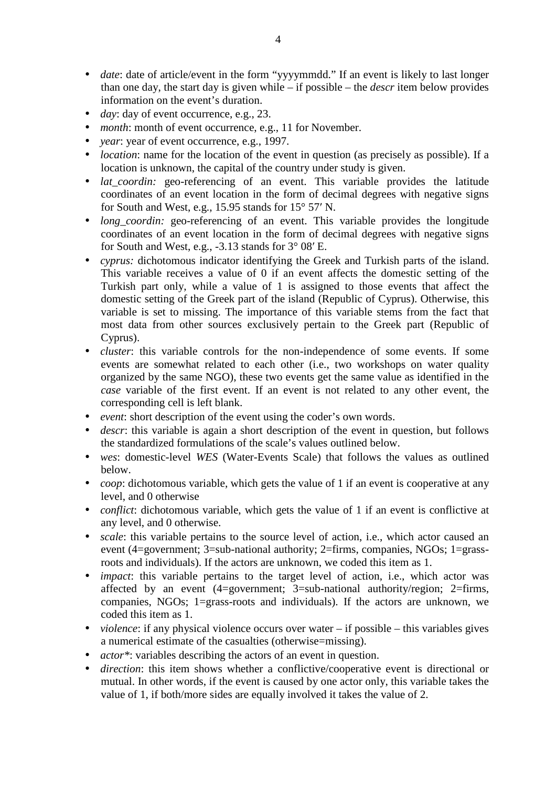- *date*: date of article/event in the form "yyyymmdd." If an event is likely to last longer than one day, the start day is given while – if possible – the *descr* item below provides information on the event's duration.
- *day*: day of event occurrence, e.g., 23.
- *month*: month of event occurrence, e.g., 11 for November.
- *year*: year of event occurrence, e.g., 1997.
- *location*: name for the location of the event in question (as precisely as possible). If a location is unknown, the capital of the country under study is given.
- *lat\_coordin:* geo-referencing of an event. This variable provides the latitude coordinates of an event location in the form of decimal degrees with negative signs for South and West, e.g., 15.95 stands for 15° 57′ N.
- *long\_coordin:* geo-referencing of an event. This variable provides the longitude coordinates of an event location in the form of decimal degrees with negative signs for South and West, e.g.,  $-3.13$  stands for  $3^{\circ}$  08' E.
- *cyprus:* dichotomous indicator identifying the Greek and Turkish parts of the island. This variable receives a value of 0 if an event affects the domestic setting of the Turkish part only, while a value of 1 is assigned to those events that affect the domestic setting of the Greek part of the island (Republic of Cyprus). Otherwise, this variable is set to missing. The importance of this variable stems from the fact that most data from other sources exclusively pertain to the Greek part (Republic of Cyprus).
- *cluster*: this variable controls for the non-independence of some events. If some events are somewhat related to each other (i.e., two workshops on water quality organized by the same NGO), these two events get the same value as identified in the *case* variable of the first event. If an event is not related to any other event, the corresponding cell is left blank.
- *event*: short description of the event using the coder's own words.
- *descr*: this variable is again a short description of the event in question, but follows the standardized formulations of the scale's values outlined below.
- *wes*: domestic-level *WES* (Water-Events Scale) that follows the values as outlined below.
- *coop*: dichotomous variable, which gets the value of 1 if an event is cooperative at any level, and 0 otherwise
- *conflict*: dichotomous variable, which gets the value of 1 if an event is conflictive at any level, and 0 otherwise.
- *scale*: this variable pertains to the source level of action, i.e., which actor caused an event (4=government; 3=sub-national authority; 2=firms, companies, NGOs; 1=grassroots and individuals). If the actors are unknown, we coded this item as 1.
- *impact*: this variable pertains to the target level of action, i.e., which actor was affected by an event  $(4=$ government;  $3=$ sub-national authority/region; 2=firms, companies, NGOs; 1=grass-roots and individuals). If the actors are unknown, we coded this item as 1.
- *violence*: if any physical violence occurs over water if possible this variables gives a numerical estimate of the casualties (otherwise=missing).
- *actor\**: variables describing the actors of an event in question.
- *direction*: this item shows whether a conflictive/cooperative event is directional or mutual. In other words, if the event is caused by one actor only, this variable takes the value of 1, if both/more sides are equally involved it takes the value of 2.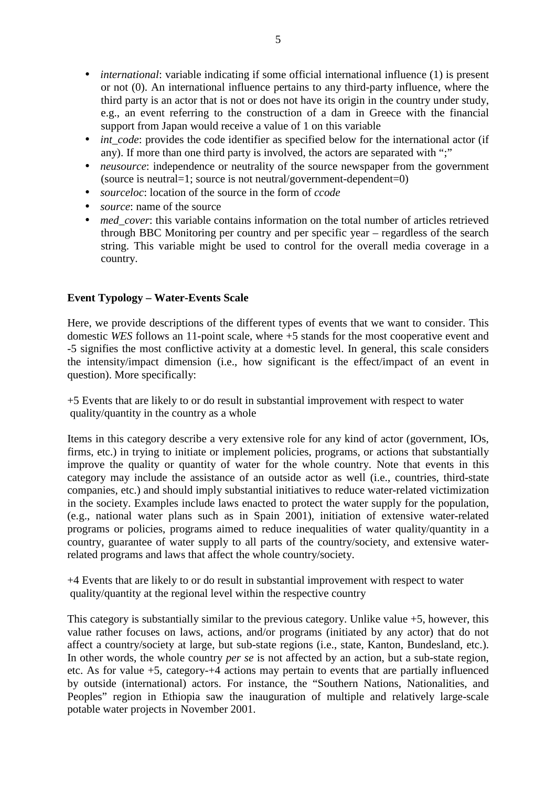- *international:* variable indicating if some official international influence (1) is present or not (0). An international influence pertains to any third-party influence, where the third party is an actor that is not or does not have its origin in the country under study, e.g., an event referring to the construction of a dam in Greece with the financial support from Japan would receive a value of 1 on this variable
- *int code*: provides the code identifier as specified below for the international actor (if any). If more than one third party is involved, the actors are separated with ";"
- *neusource*: independence or neutrality of the source newspaper from the government (source is neutral=1; source is not neutral/government-dependent=0)
- *sourceloc*: location of the source in the form of *ccode*
- *source*: name of the source
- *med\_cover*: this variable contains information on the total number of articles retrieved through BBC Monitoring per country and per specific year – regardless of the search string. This variable might be used to control for the overall media coverage in a country.

# **Event Typology – Water-Events Scale**

Here, we provide descriptions of the different types of events that we want to consider. This domestic *WES* follows an 11-point scale, where +5 stands for the most cooperative event and -5 signifies the most conflictive activity at a domestic level. In general, this scale considers the intensity/impact dimension (i.e., how significant is the effect/impact of an event in question). More specifically:

+5 Events that are likely to or do result in substantial improvement with respect to water quality/quantity in the country as a whole

Items in this category describe a very extensive role for any kind of actor (government, IOs, firms, etc.) in trying to initiate or implement policies, programs, or actions that substantially improve the quality or quantity of water for the whole country. Note that events in this category may include the assistance of an outside actor as well (i.e., countries, third-state companies, etc.) and should imply substantial initiatives to reduce water-related victimization in the society. Examples include laws enacted to protect the water supply for the population, (e.g., national water plans such as in Spain 2001), initiation of extensive water-related programs or policies, programs aimed to reduce inequalities of water quality/quantity in a country, guarantee of water supply to all parts of the country/society, and extensive waterrelated programs and laws that affect the whole country/society.

+4 Events that are likely to or do result in substantial improvement with respect to water quality/quantity at the regional level within the respective country

This category is substantially similar to the previous category. Unlike value +5, however, this value rather focuses on laws, actions, and/or programs (initiated by any actor) that do not affect a country/society at large, but sub-state regions (i.e., state, Kanton, Bundesland, etc.). In other words, the whole country *per se* is not affected by an action, but a sub-state region, etc. As for value +5, category-+4 actions may pertain to events that are partially influenced by outside (international) actors. For instance, the "Southern Nations, Nationalities, and Peoples" region in Ethiopia saw the inauguration of multiple and relatively large-scale potable water projects in November 2001.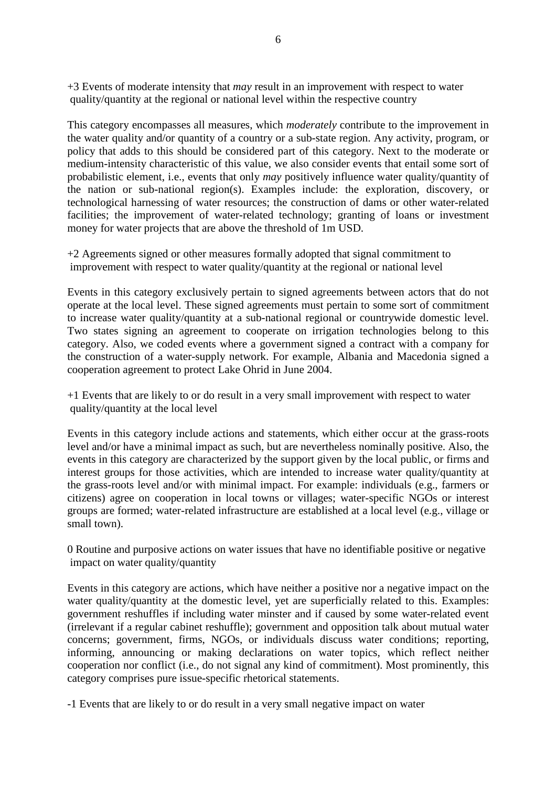+3 Events of moderate intensity that *may* result in an improvement with respect to water quality/quantity at the regional or national level within the respective country

This category encompasses all measures, which *moderately* contribute to the improvement in the water quality and/or quantity of a country or a sub-state region. Any activity, program, or policy that adds to this should be considered part of this category. Next to the moderate or medium-intensity characteristic of this value, we also consider events that entail some sort of probabilistic element, i.e., events that only *may* positively influence water quality/quantity of the nation or sub-national region(s). Examples include: the exploration, discovery, or technological harnessing of water resources; the construction of dams or other water-related facilities; the improvement of water-related technology; granting of loans or investment money for water projects that are above the threshold of 1m USD.

+2 Agreements signed or other measures formally adopted that signal commitment to improvement with respect to water quality/quantity at the regional or national level

Events in this category exclusively pertain to signed agreements between actors that do not operate at the local level. These signed agreements must pertain to some sort of commitment to increase water quality/quantity at a sub-national regional or countrywide domestic level. Two states signing an agreement to cooperate on irrigation technologies belong to this category. Also, we coded events where a government signed a contract with a company for the construction of a water-supply network. For example, Albania and Macedonia signed a cooperation agreement to protect Lake Ohrid in June 2004.

+1 Events that are likely to or do result in a very small improvement with respect to water quality/quantity at the local level

Events in this category include actions and statements, which either occur at the grass-roots level and/or have a minimal impact as such, but are nevertheless nominally positive. Also, the events in this category are characterized by the support given by the local public, or firms and interest groups for those activities, which are intended to increase water quality/quantity at the grass-roots level and/or with minimal impact. For example: individuals (e.g., farmers or citizens) agree on cooperation in local towns or villages; water-specific NGOs or interest groups are formed; water-related infrastructure are established at a local level (e.g., village or small town).

0 Routine and purposive actions on water issues that have no identifiable positive or negative impact on water quality/quantity

Events in this category are actions, which have neither a positive nor a negative impact on the water quality/quantity at the domestic level, yet are superficially related to this. Examples: government reshuffles if including water minster and if caused by some water-related event (irrelevant if a regular cabinet reshuffle); government and opposition talk about mutual water concerns; government, firms, NGOs, or individuals discuss water conditions; reporting, informing, announcing or making declarations on water topics, which reflect neither cooperation nor conflict (i.e., do not signal any kind of commitment). Most prominently, this category comprises pure issue-specific rhetorical statements.

-1 Events that are likely to or do result in a very small negative impact on water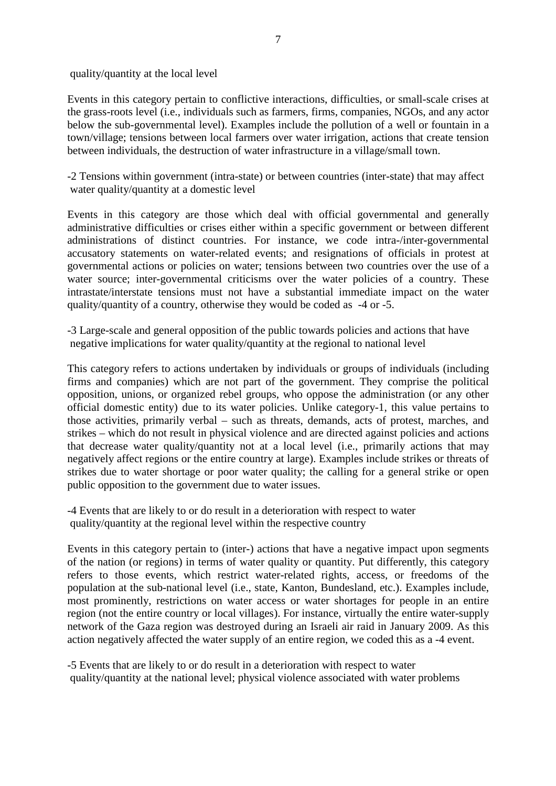quality/quantity at the local level

Events in this category pertain to conflictive interactions, difficulties, or small-scale crises at the grass-roots level (i.e., individuals such as farmers, firms, companies, NGOs, and any actor below the sub-governmental level). Examples include the pollution of a well or fountain in a town/village; tensions between local farmers over water irrigation, actions that create tension between individuals, the destruction of water infrastructure in a village/small town.

-2 Tensions within government (intra-state) or between countries (inter-state) that may affect water quality/quantity at a domestic level

Events in this category are those which deal with official governmental and generally administrative difficulties or crises either within a specific government or between different administrations of distinct countries. For instance, we code intra-/inter-governmental accusatory statements on water-related events; and resignations of officials in protest at governmental actions or policies on water; tensions between two countries over the use of a water source; inter-governmental criticisms over the water policies of a country. These intrastate/interstate tensions must not have a substantial immediate impact on the water quality/quantity of a country, otherwise they would be coded as -4 or -5.

-3 Large-scale and general opposition of the public towards policies and actions that have negative implications for water quality/quantity at the regional to national level

This category refers to actions undertaken by individuals or groups of individuals (including firms and companies) which are not part of the government. They comprise the political opposition, unions, or organized rebel groups, who oppose the administration (or any other official domestic entity) due to its water policies. Unlike category-1, this value pertains to those activities, primarily verbal – such as threats, demands, acts of protest, marches, and strikes – which do not result in physical violence and are directed against policies and actions that decrease water quality/quantity not at a local level (i.e., primarily actions that may negatively affect regions or the entire country at large). Examples include strikes or threats of strikes due to water shortage or poor water quality; the calling for a general strike or open public opposition to the government due to water issues.

-4 Events that are likely to or do result in a deterioration with respect to water quality/quantity at the regional level within the respective country

Events in this category pertain to (inter-) actions that have a negative impact upon segments of the nation (or regions) in terms of water quality or quantity. Put differently, this category refers to those events, which restrict water-related rights, access, or freedoms of the population at the sub-national level (i.e., state, Kanton, Bundesland, etc.). Examples include, most prominently, restrictions on water access or water shortages for people in an entire region (not the entire country or local villages). For instance, virtually the entire water-supply network of the Gaza region was destroyed during an Israeli air raid in January 2009. As this action negatively affected the water supply of an entire region, we coded this as a -4 event.

-5 Events that are likely to or do result in a deterioration with respect to water quality/quantity at the national level; physical violence associated with water problems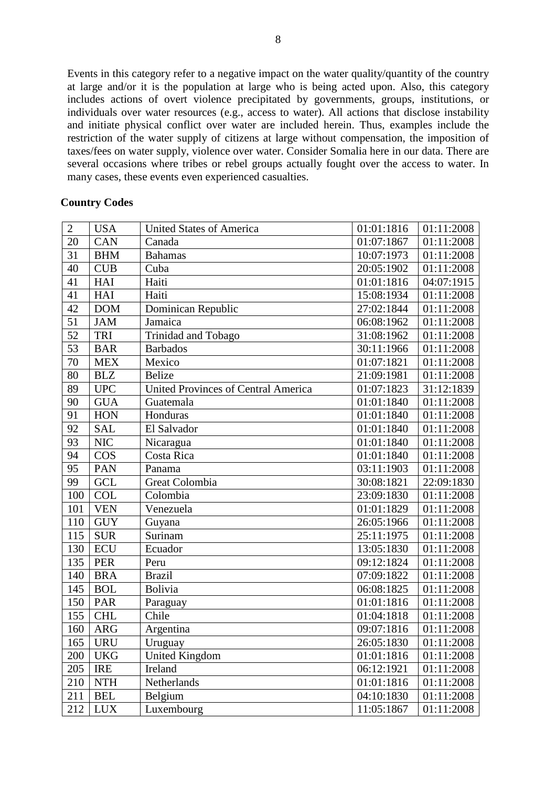Events in this category refer to a negative impact on the water quality/quantity of the country at large and/or it is the population at large who is being acted upon. Also, this category includes actions of overt violence precipitated by governments, groups, institutions, or individuals over water resources (e.g., access to water). All actions that disclose instability and initiate physical conflict over water are included herein. Thus, examples include the restriction of the water supply of citizens at large without compensation, the imposition of taxes/fees on water supply, violence over water. Consider Somalia here in our data. There are several occasions where tribes or rebel groups actually fought over the access to water. In many cases, these events even experienced casualties.

| $\overline{2}$  | <b>USA</b> | <b>United States of America</b>            | 01:01:1816 | 01:11:2008 |
|-----------------|------------|--------------------------------------------|------------|------------|
| 20              | <b>CAN</b> | Canada                                     | 01:07:1867 | 01:11:2008 |
| 31              | <b>BHM</b> | Bahamas                                    | 10:07:1973 | 01:11:2008 |
| 40              | <b>CUB</b> | Cuba                                       | 20:05:1902 | 01:11:2008 |
| 41              | HAI        | Haiti                                      | 01:01:1816 | 04:07:1915 |
| 41              | <b>HAI</b> | Haiti                                      | 15:08:1934 | 01:11:2008 |
| 42              | <b>DOM</b> | Dominican Republic                         | 27:02:1844 | 01:11:2008 |
| 51              | <b>JAM</b> | Jamaica                                    | 06:08:1962 | 01:11:2008 |
| 52              | TRI        | Trinidad and Tobago                        | 31:08:1962 | 01:11:2008 |
| 53              | <b>BAR</b> | <b>Barbados</b>                            | 30:11:1966 | 01:11:2008 |
| 70              | <b>MEX</b> | Mexico                                     | 01:07:1821 | 01:11:2008 |
| 80              | <b>BLZ</b> | <b>Belize</b>                              | 21:09:1981 | 01:11:2008 |
| 89              | <b>UPC</b> | <b>United Provinces of Central America</b> | 01:07:1823 | 31:12:1839 |
| 90              | <b>GUA</b> | Guatemala                                  | 01:01:1840 | 01:11:2008 |
| 91              | <b>HON</b> | Honduras                                   | 01:01:1840 | 01:11:2008 |
| 92              | <b>SAL</b> | El Salvador                                | 01:01:1840 | 01:11:2008 |
| 93              | <b>NIC</b> | Nicaragua                                  | 01:01:1840 | 01:11:2008 |
| 94              | <b>COS</b> | Costa Rica                                 | 01:01:1840 | 01:11:2008 |
| $\overline{95}$ | <b>PAN</b> | Panama                                     | 03:11:1903 | 01:11:2008 |
| 99              | <b>GCL</b> | Great Colombia                             | 30:08:1821 | 22:09:1830 |
| 100             | <b>COL</b> | Colombia                                   | 23:09:1830 | 01:11:2008 |
| 101             | <b>VEN</b> | Venezuela                                  | 01:01:1829 | 01:11:2008 |
| 110             | <b>GUY</b> | Guyana                                     | 26:05:1966 | 01:11:2008 |
| 115             | <b>SUR</b> | Surinam                                    | 25:11:1975 | 01:11:2008 |
| 130             | <b>ECU</b> | Ecuador                                    | 13:05:1830 | 01:11:2008 |
| 135             | <b>PER</b> | Peru                                       | 09:12:1824 | 01:11:2008 |
| 140             | <b>BRA</b> | <b>Brazil</b>                              | 07:09:1822 | 01:11:2008 |
| 145             | <b>BOL</b> | <b>Bolivia</b>                             | 06:08:1825 | 01:11:2008 |
| 150             | PAR        | Paraguay                                   | 01:01:1816 | 01:11:2008 |
| 155             | <b>CHL</b> | Chile                                      | 01:04:1818 | 01:11:2008 |
| 160             | <b>ARG</b> | Argentina                                  | 09:07:1816 | 01:11:2008 |
|                 | $165$ URU  | Uruguay                                    | 26:05:1830 | 01:11:2008 |
| 200             | <b>UKG</b> | <b>United Kingdom</b>                      | 01:01:1816 | 01:11:2008 |
| 205             | <b>IRE</b> | Ireland                                    | 06:12:1921 | 01:11:2008 |
| 210             | <b>NTH</b> | Netherlands                                | 01:01:1816 | 01:11:2008 |
| 211             | <b>BEL</b> | Belgium                                    | 04:10:1830 | 01:11:2008 |
| 212             | <b>LUX</b> | Luxembourg                                 | 11:05:1867 | 01:11:2008 |

#### **Country Codes**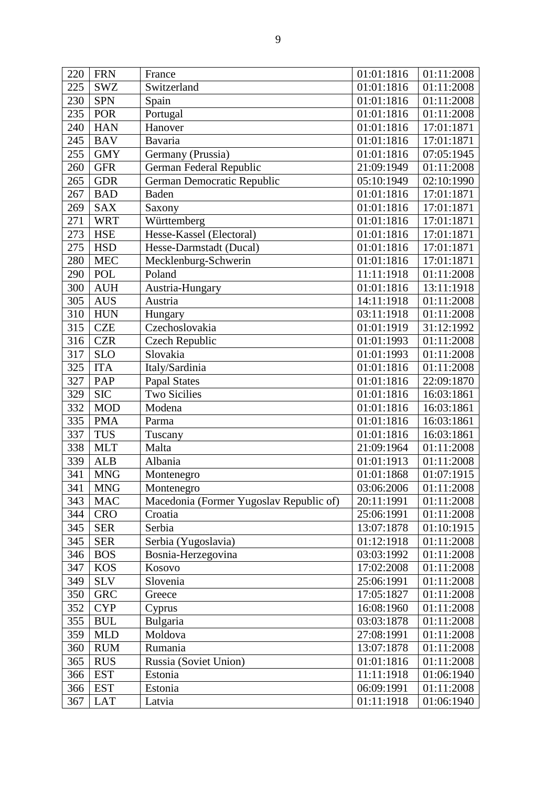| 220 | <b>FRN</b> | France                                  | 01:01:1816 | 01:11:2008 |
|-----|------------|-----------------------------------------|------------|------------|
| 225 | <b>SWZ</b> | Switzerland                             | 01:01:1816 | 01:11:2008 |
| 230 | <b>SPN</b> | Spain                                   | 01:01:1816 | 01:11:2008 |
| 235 | <b>POR</b> | Portugal                                | 01:01:1816 | 01:11:2008 |
| 240 | <b>HAN</b> | Hanover                                 | 01:01:1816 | 17:01:1871 |
| 245 | <b>BAV</b> | Bavaria                                 | 01:01:1816 | 17:01:1871 |
| 255 | <b>GMY</b> | Germany (Prussia)                       | 01:01:1816 | 07:05:1945 |
| 260 | <b>GFR</b> | German Federal Republic                 | 21:09:1949 | 01:11:2008 |
| 265 | <b>GDR</b> | German Democratic Republic              | 05:10:1949 | 02:10:1990 |
| 267 | <b>BAD</b> | <b>Baden</b>                            | 01:01:1816 | 17:01:1871 |
| 269 | <b>SAX</b> | Saxony                                  | 01:01:1816 | 17:01:1871 |
| 271 | <b>WRT</b> | Württemberg                             | 01:01:1816 | 17:01:1871 |
| 273 | <b>HSE</b> | Hesse-Kassel (Electoral)                | 01:01:1816 | 17:01:1871 |
| 275 | <b>HSD</b> | Hesse-Darmstadt (Ducal)                 | 01:01:1816 | 17:01:1871 |
| 280 | <b>MEC</b> | Mecklenburg-Schwerin                    | 01:01:1816 | 17:01:1871 |
| 290 | <b>POL</b> | Poland                                  | 11:11:1918 | 01:11:2008 |
| 300 | <b>AUH</b> | Austria-Hungary                         | 01:01:1816 | 13:11:1918 |
| 305 | <b>AUS</b> | Austria                                 | 14:11:1918 | 01:11:2008 |
| 310 | <b>HUN</b> | Hungary                                 | 03:11:1918 | 01:11:2008 |
| 315 | <b>CZE</b> | Czechoslovakia                          | 01:01:1919 | 31:12:1992 |
| 316 | <b>CZR</b> | Czech Republic                          | 01:01:1993 | 01:11:2008 |
| 317 | <b>SLO</b> | Slovakia                                | 01:01:1993 | 01:11:2008 |
| 325 | <b>ITA</b> | Italy/Sardinia                          | 01:01:1816 | 01:11:2008 |
| 327 | PAP        | <b>Papal States</b>                     | 01:01:1816 | 22:09:1870 |
| 329 | <b>SIC</b> | <b>Two Sicilies</b>                     | 01:01:1816 | 16:03:1861 |
| 332 | <b>MOD</b> | Modena                                  | 01:01:1816 | 16:03:1861 |
| 335 | <b>PMA</b> | Parma                                   | 01:01:1816 | 16:03:1861 |
| 337 | <b>TUS</b> | Tuscany                                 | 01:01:1816 | 16:03:1861 |
| 338 | <b>MLT</b> | Malta                                   | 21:09:1964 | 01:11:2008 |
| 339 | <b>ALB</b> | Albania                                 | 01:01:1913 | 01:11:2008 |
| 341 | <b>MNG</b> | Montenegro                              | 01:01:1868 | 01:07:1915 |
|     | 341   MNG  | Montenegro                              | 03:06:2006 | 01:11:2008 |
| 343 | <b>MAC</b> | Macedonia (Former Yugoslav Republic of) | 20:11:1991 | 01:11:2008 |
| 344 | <b>CRO</b> | Croatia                                 | 25:06:1991 | 01:11:2008 |
| 345 | <b>SER</b> | Serbia                                  | 13:07:1878 | 01:10:1915 |
| 345 | <b>SER</b> | Serbia (Yugoslavia)                     | 01:12:1918 | 01:11:2008 |
| 346 | <b>BOS</b> | Bosnia-Herzegovina                      | 03:03:1992 | 01:11:2008 |
| 347 | <b>KOS</b> | Kosovo                                  | 17:02:2008 | 01:11:2008 |
| 349 | <b>SLV</b> | Slovenia                                | 25:06:1991 | 01:11:2008 |
| 350 | <b>GRC</b> | Greece                                  | 17:05:1827 | 01:11:2008 |
| 352 | <b>CYP</b> | Cyprus                                  | 16:08:1960 | 01:11:2008 |
| 355 | <b>BUL</b> | Bulgaria                                | 03:03:1878 | 01:11:2008 |
| 359 | <b>MLD</b> | Moldova                                 | 27:08:1991 | 01:11:2008 |
| 360 | <b>RUM</b> | Rumania                                 | 13:07:1878 | 01:11:2008 |
| 365 | <b>RUS</b> | Russia (Soviet Union)                   | 01:01:1816 | 01:11:2008 |
| 366 | <b>EST</b> | Estonia                                 | 11:11:1918 | 01:06:1940 |
| 366 | <b>EST</b> | Estonia                                 | 06:09:1991 | 01:11:2008 |
| 367 | <b>LAT</b> | Latvia                                  | 01:11:1918 | 01:06:1940 |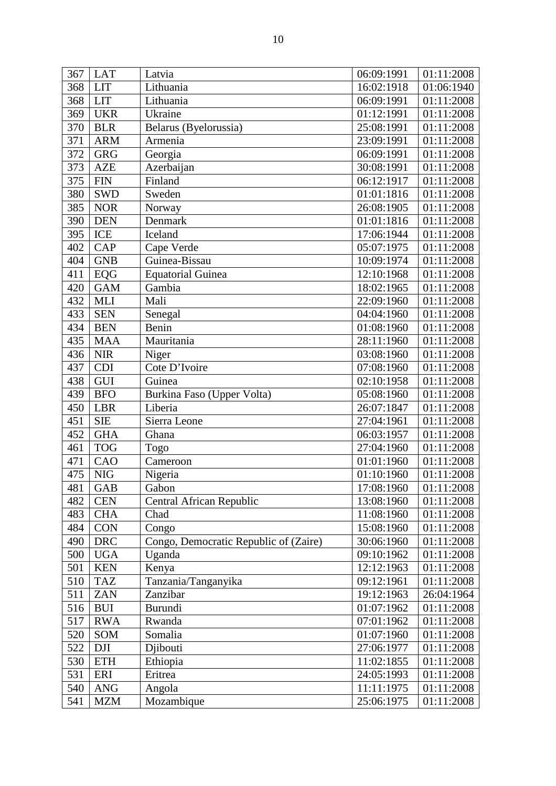| 367 | <b>LAT</b>                | Latvia                                | 06:09:1991 | 01:11:2008 |
|-----|---------------------------|---------------------------------------|------------|------------|
| 368 | <b>LIT</b>                | Lithuania                             | 16:02:1918 | 01:06:1940 |
| 368 | <b>LIT</b>                | Lithuania                             | 06:09:1991 | 01:11:2008 |
| 369 | <b>UKR</b>                | Ukraine                               | 01:12:1991 | 01:11:2008 |
| 370 | <b>BLR</b>                | Belarus (Byelorussia)                 | 25:08:1991 | 01:11:2008 |
| 371 | <b>ARM</b>                | Armenia                               | 23:09:1991 | 01:11:2008 |
| 372 | <b>GRG</b>                | Georgia                               | 06:09:1991 | 01:11:2008 |
| 373 | <b>AZE</b>                | Azerbaijan                            | 30:08:1991 | 01:11:2008 |
| 375 | <b>FIN</b>                | Finland                               | 06:12:1917 | 01:11:2008 |
| 380 | <b>SWD</b>                | Sweden                                | 01:01:1816 | 01:11:2008 |
| 385 | <b>NOR</b>                | Norway                                | 26:08:1905 | 01:11:2008 |
| 390 | <b>DEN</b>                | Denmark                               | 01:01:1816 | 01:11:2008 |
| 395 | ICE                       | Iceland                               | 17:06:1944 | 01:11:2008 |
| 402 | <b>CAP</b>                | Cape Verde                            | 05:07:1975 | 01:11:2008 |
| 404 | <b>GNB</b>                | Guinea-Bissau                         | 10:09:1974 | 01:11:2008 |
| 411 | EQG                       | <b>Equatorial Guinea</b>              | 12:10:1968 | 01:11:2008 |
| 420 | <b>GAM</b>                | Gambia                                | 18:02:1965 | 01:11:2008 |
| 432 | <b>MLI</b>                | Mali                                  | 22:09:1960 | 01:11:2008 |
| 433 | <b>SEN</b>                | Senegal                               | 04:04:1960 | 01:11:2008 |
| 434 | <b>BEN</b>                | Benin                                 | 01:08:1960 | 01:11:2008 |
| 435 | <b>MAA</b>                | Mauritania                            | 28:11:1960 | 01:11:2008 |
| 436 | <b>NIR</b>                | Niger                                 | 03:08:1960 | 01:11:2008 |
| 437 | <b>CDI</b>                | Cote D'Ivoire                         | 07:08:1960 | 01:11:2008 |
| 438 | GUI                       | Guinea                                | 02:10:1958 | 01:11:2008 |
| 439 | <b>BFO</b>                | Burkina Faso (Upper Volta)            | 05:08:1960 | 01:11:2008 |
| 450 | <b>LBR</b>                | Liberia                               | 26:07:1847 | 01:11:2008 |
| 451 | <b>SIE</b>                | Sierra Leone                          | 27:04:1961 | 01:11:2008 |
| 452 | <b>GHA</b>                | Ghana                                 | 06:03:1957 | 01:11:2008 |
| 461 | <b>TOG</b>                | Togo                                  | 27:04:1960 | 01:11:2008 |
| 471 | CAO                       | Cameroon                              | 01:01:1960 | 01:11:2008 |
| 475 | <b>NIG</b>                | Nigeria                               | 01:10:1960 | 01:11:2008 |
|     | 481 GAB                   | Gabon                                 | 17:08:1960 | 01:11:2008 |
| 482 | <b>CEN</b>                | Central African Republic              | 13:08:1960 | 01:11:2008 |
| 483 | <b>CHA</b>                | Chad                                  | 11:08:1960 | 01:11:2008 |
| 484 | <b>CON</b>                | Congo                                 | 15:08:1960 | 01:11:2008 |
| 490 | <b>DRC</b>                | Congo, Democratic Republic of (Zaire) | 30:06:1960 | 01:11:2008 |
| 500 | <b>UGA</b>                | Uganda                                | 09:10:1962 | 01:11:2008 |
| 501 | <b>KEN</b>                | Kenya                                 | 12:12:1963 | 01:11:2008 |
| 510 | <b>TAZ</b>                | Tanzania/Tanganyika                   | 09:12:1961 | 01:11:2008 |
| 511 | <b>ZAN</b>                | Zanzibar                              | 19:12:1963 | 26:04:1964 |
| 516 | <b>BUI</b>                | Burundi                               | 01:07:1962 | 01:11:2008 |
| 517 | <b>RWA</b>                | Rwanda                                | 07:01:1962 | 01:11:2008 |
| 520 | SOM                       | Somalia                               | 01:07:1960 | 01:11:2008 |
| 522 | <b>DJI</b>                | Djibouti                              | 27:06:1977 | 01:11:2008 |
| 530 | <b>ETH</b>                | Ethiopia                              | 11:02:1855 | 01:11:2008 |
| 531 | ERI                       | Eritrea                               | 24:05:1993 | 01:11:2008 |
| 540 | <b>ANG</b>                | Angola                                | 11:11:1975 | 01:11:2008 |
| 541 | $\ensuremath{\text{MZM}}$ | Mozambique                            | 25:06:1975 | 01:11:2008 |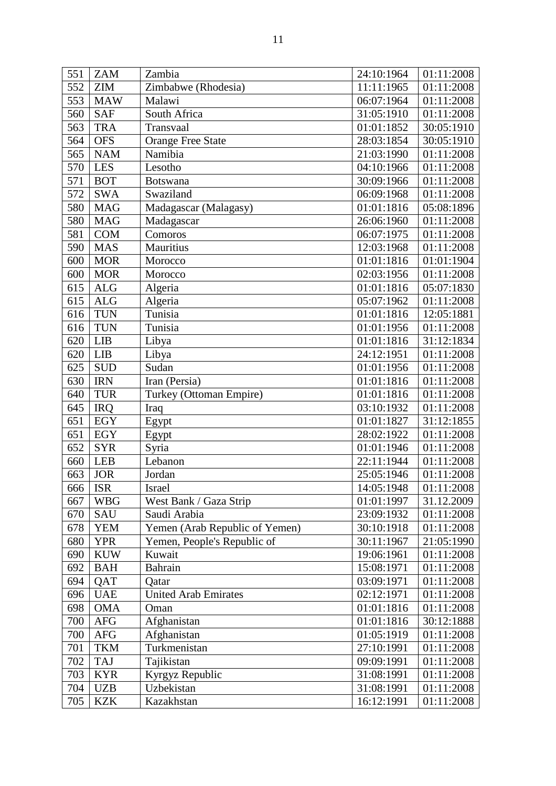| 551 | <b>ZAM</b> | Zambia                         | 24:10:1964 | 01:11:2008 |
|-----|------------|--------------------------------|------------|------------|
| 552 | <b>ZIM</b> | Zimbabwe (Rhodesia)            | 11:11:1965 | 01:11:2008 |
| 553 | <b>MAW</b> | Malawi                         | 06:07:1964 | 01:11:2008 |
| 560 | <b>SAF</b> | South Africa                   | 31:05:1910 | 01:11:2008 |
| 563 | <b>TRA</b> | Transvaal                      | 01:01:1852 | 30:05:1910 |
| 564 | <b>OFS</b> | <b>Orange Free State</b>       | 28:03:1854 | 30:05:1910 |
| 565 | <b>NAM</b> | Namibia                        | 21:03:1990 | 01:11:2008 |
| 570 | LES        | Lesotho                        | 04:10:1966 | 01:11:2008 |
| 571 | <b>BOT</b> | <b>Botswana</b>                | 30:09:1966 | 01:11:2008 |
| 572 | <b>SWA</b> | Swaziland                      | 06:09:1968 | 01:11:2008 |
| 580 | <b>MAG</b> | Madagascar (Malagasy)          | 01:01:1816 | 05:08:1896 |
| 580 | <b>MAG</b> | Madagascar                     | 26:06:1960 | 01:11:2008 |
| 581 | <b>COM</b> | Comoros                        | 06:07:1975 | 01:11:2008 |
| 590 | <b>MAS</b> | Mauritius                      | 12:03:1968 | 01:11:2008 |
| 600 | <b>MOR</b> | Morocco                        | 01:01:1816 | 01:01:1904 |
| 600 | <b>MOR</b> | Morocco                        | 02:03:1956 | 01:11:2008 |
| 615 | <b>ALG</b> | Algeria                        | 01:01:1816 | 05:07:1830 |
| 615 | <b>ALG</b> | Algeria                        | 05:07:1962 | 01:11:2008 |
| 616 | <b>TUN</b> | Tunisia                        | 01:01:1816 | 12:05:1881 |
| 616 | <b>TUN</b> | Tunisia                        | 01:01:1956 | 01:11:2008 |
| 620 | <b>LIB</b> | Libya                          | 01:01:1816 | 31:12:1834 |
| 620 | <b>LIB</b> | Libya                          | 24:12:1951 | 01:11:2008 |
| 625 | <b>SUD</b> | Sudan                          | 01:01:1956 | 01:11:2008 |
| 630 | <b>IRN</b> | Iran (Persia)                  | 01:01:1816 | 01:11:2008 |
| 640 | <b>TUR</b> | Turkey (Ottoman Empire)        | 01:01:1816 | 01:11:2008 |
| 645 | <b>IRQ</b> | Iraq                           | 03:10:1932 | 01:11:2008 |
| 651 | <b>EGY</b> | Egypt                          | 01:01:1827 | 31:12:1855 |
| 651 | <b>EGY</b> | Egypt                          | 28:02:1922 | 01:11:2008 |
| 652 | <b>SYR</b> | Syria                          | 01:01:1946 | 01:11:2008 |
| 660 | <b>LEB</b> | Lebanon                        | 22:11:1944 | 01:11:2008 |
| 663 | <b>JOR</b> | Jordan                         | 25:05:1946 | 01:11:2008 |
| 666 | <b>ISR</b> | Israel                         | 14:05:1948 | 01:11:2008 |
| 667 | <b>WBG</b> | West Bank / Gaza Strip         | 01:01:1997 | 31.12.2009 |
| 670 | SAU        | Saudi Arabia                   | 23:09:1932 | 01:11:2008 |
| 678 | <b>YEM</b> | Yemen (Arab Republic of Yemen) | 30:10:1918 | 01:11:2008 |
| 680 | <b>YPR</b> | Yemen, People's Republic of    | 30:11:1967 | 21:05:1990 |
| 690 | <b>KUW</b> | Kuwait                         | 19:06:1961 | 01:11:2008 |
| 692 | <b>BAH</b> | Bahrain                        | 15:08:1971 | 01:11:2008 |
| 694 | QAT        | Qatar                          | 03:09:1971 | 01:11:2008 |
| 696 | <b>UAE</b> | <b>United Arab Emirates</b>    | 02:12:1971 | 01:11:2008 |
| 698 | <b>OMA</b> | Oman                           | 01:01:1816 | 01:11:2008 |
| 700 | <b>AFG</b> | Afghanistan                    | 01:01:1816 | 30:12:1888 |
| 700 | <b>AFG</b> | Afghanistan                    | 01:05:1919 | 01:11:2008 |
| 701 | <b>TKM</b> | Turkmenistan                   | 27:10:1991 | 01:11:2008 |
| 702 | <b>TAJ</b> | Tajikistan                     | 09:09:1991 | 01:11:2008 |
| 703 | <b>KYR</b> | Kyrgyz Republic                | 31:08:1991 | 01:11:2008 |
| 704 | <b>UZB</b> | Uzbekistan                     | 31:08:1991 | 01:11:2008 |
| 705 | <b>KZK</b> | Kazakhstan                     | 16:12:1991 | 01:11:2008 |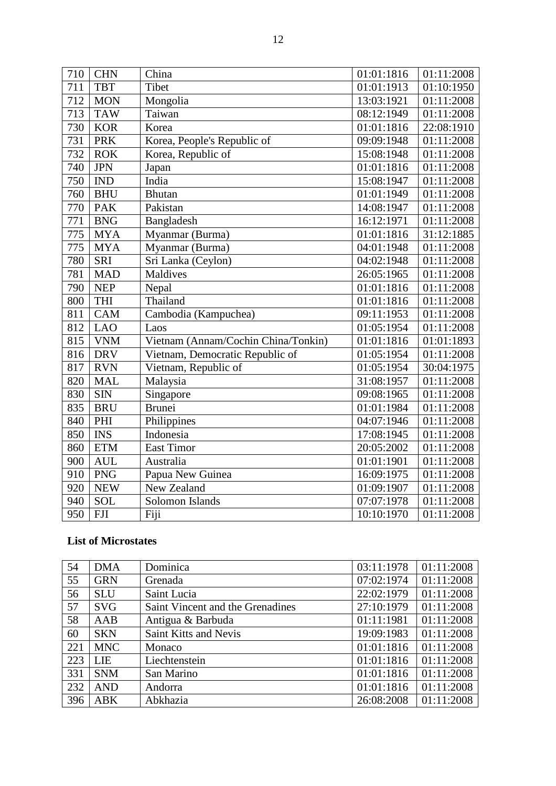| 710 | <b>CHN</b> | China                               | 01:01:1816 | 01:11:2008 |
|-----|------------|-------------------------------------|------------|------------|
| 711 | <b>TBT</b> | Tibet                               | 01:01:1913 | 01:10:1950 |
| 712 | <b>MON</b> | Mongolia                            | 13:03:1921 | 01:11:2008 |
| 713 | <b>TAW</b> | Taiwan                              | 08:12:1949 | 01:11:2008 |
| 730 | <b>KOR</b> | Korea                               | 01:01:1816 | 22:08:1910 |
| 731 | <b>PRK</b> | Korea, People's Republic of         | 09:09:1948 | 01:11:2008 |
| 732 | <b>ROK</b> | Korea, Republic of                  | 15:08:1948 | 01:11:2008 |
| 740 | <b>JPN</b> | Japan                               | 01:01:1816 | 01:11:2008 |
| 750 | <b>IND</b> | India                               | 15:08:1947 | 01:11:2008 |
| 760 | <b>BHU</b> | <b>Bhutan</b>                       | 01:01:1949 | 01:11:2008 |
| 770 | <b>PAK</b> | Pakistan                            | 14:08:1947 | 01:11:2008 |
| 771 | <b>BNG</b> | Bangladesh                          | 16:12:1971 | 01:11:2008 |
| 775 | <b>MYA</b> | Myanmar (Burma)                     | 01:01:1816 | 31:12:1885 |
| 775 | <b>MYA</b> | Myanmar (Burma)                     | 04:01:1948 | 01:11:2008 |
| 780 | <b>SRI</b> | Sri Lanka (Ceylon)                  | 04:02:1948 | 01:11:2008 |
| 781 | <b>MAD</b> | <b>Maldives</b>                     | 26:05:1965 | 01:11:2008 |
| 790 | <b>NEP</b> | Nepal                               | 01:01:1816 | 01:11:2008 |
| 800 | <b>THI</b> | Thailand                            | 01:01:1816 | 01:11:2008 |
| 811 | <b>CAM</b> | Cambodia (Kampuchea)                | 09:11:1953 | 01:11:2008 |
| 812 | <b>LAO</b> | Laos                                | 01:05:1954 | 01:11:2008 |
| 815 | <b>VNM</b> | Vietnam (Annam/Cochin China/Tonkin) | 01:01:1816 | 01:01:1893 |
| 816 | <b>DRV</b> | Vietnam, Democratic Republic of     | 01:05:1954 | 01:11:2008 |
| 817 | <b>RVN</b> | Vietnam, Republic of                | 01:05:1954 | 30:04:1975 |
| 820 | <b>MAL</b> | Malaysia                            | 31:08:1957 | 01:11:2008 |
| 830 | <b>SIN</b> | Singapore                           | 09:08:1965 | 01:11:2008 |
| 835 | <b>BRU</b> | <b>Brunei</b>                       | 01:01:1984 | 01:11:2008 |
| 840 | PHI        | Philippines                         | 04:07:1946 | 01:11:2008 |
| 850 | <b>INS</b> | Indonesia                           | 17:08:1945 | 01:11:2008 |
| 860 | <b>ETM</b> | <b>East Timor</b>                   | 20:05:2002 | 01:11:2008 |
| 900 | <b>AUL</b> | Australia                           | 01:01:1901 | 01:11:2008 |
| 910 | <b>PNG</b> | Papua New Guinea                    | 16:09:1975 | 01:11:2008 |
| 920 | <b>NEW</b> | New Zealand                         | 01:09:1907 | 01:11:2008 |
| 940 | <b>SOL</b> | Solomon Islands                     | 07:07:1978 | 01:11:2008 |
| 950 | <b>FJI</b> | Fiji                                | 10:10:1970 | 01:11:2008 |

# **List of Microstates**

| 54  | <b>DMA</b> | Dominica                         | 03:11:1978 | 01:11:2008 |
|-----|------------|----------------------------------|------------|------------|
| 55  | <b>GRN</b> | Grenada                          | 07:02:1974 | 01:11:2008 |
| 56  | <b>SLU</b> | Saint Lucia                      | 22:02:1979 | 01:11:2008 |
| 57  | <b>SVG</b> | Saint Vincent and the Grenadines | 27:10:1979 | 01:11:2008 |
| 58  | AAB        | Antigua & Barbuda                | 01:11:1981 | 01:11:2008 |
| 60  | <b>SKN</b> | Saint Kitts and Nevis            | 19:09:1983 | 01:11:2008 |
| 221 | <b>MNC</b> | Monaco                           | 01:01:1816 | 01:11:2008 |
| 223 | LIE        | Liechtenstein                    | 01:01:1816 | 01:11:2008 |
| 331 | <b>SNM</b> | San Marino                       | 01:01:1816 | 01:11:2008 |
| 232 | <b>AND</b> | Andorra                          | 01:01:1816 | 01:11:2008 |
| 396 | <b>ABK</b> | Abkhazia                         | 26:08:2008 | 01:11:2008 |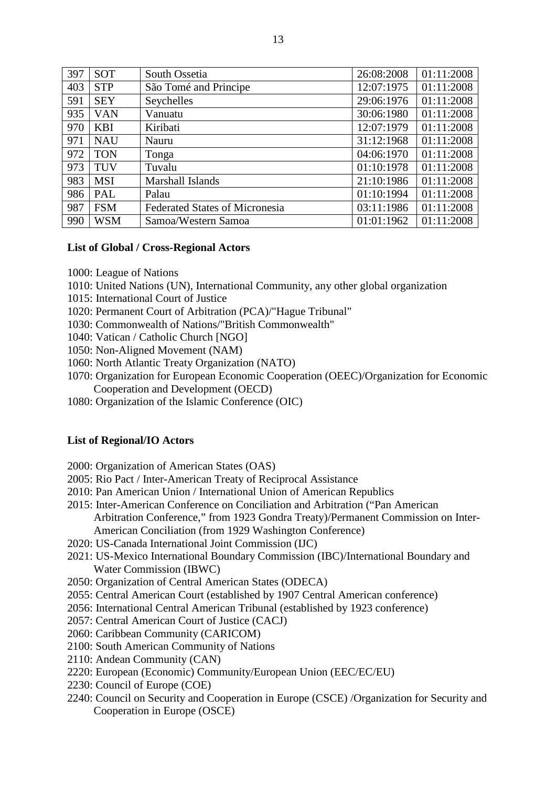| 397 | <b>SOT</b> | South Ossetia                         | 26:08:2008 | 01:11:2008 |
|-----|------------|---------------------------------------|------------|------------|
| 403 | <b>STP</b> | São Tomé and Principe                 | 12:07:1975 | 01:11:2008 |
| 591 | <b>SEY</b> | Seychelles                            | 29:06:1976 | 01:11:2008 |
| 935 | <b>VAN</b> | Vanuatu                               | 30:06:1980 | 01:11:2008 |
| 970 | <b>KBI</b> | Kiribati                              | 12:07:1979 | 01:11:2008 |
| 971 | <b>NAU</b> | Nauru                                 | 31:12:1968 | 01:11:2008 |
| 972 | <b>TON</b> | Tonga                                 | 04:06:1970 | 01:11:2008 |
| 973 | TUV        | Tuvalu                                | 01:10:1978 | 01:11:2008 |
| 983 | <b>MSI</b> | Marshall Islands                      | 21:10:1986 | 01:11:2008 |
| 986 | PAL        | Palau                                 | 01:10:1994 | 01:11:2008 |
| 987 | <b>FSM</b> | <b>Federated States of Micronesia</b> | 03:11:1986 | 01:11:2008 |
| 990 | <b>WSM</b> | Samoa/Western Samoa                   | 01:01:1962 | 01:11:2008 |

### **List of Global / Cross-Regional Actors**

- 1000: League of Nations
- 1010: United Nations (UN), International Community, any other global organization
- 1015: International Court of Justice
- 1020: Permanent Court of Arbitration (PCA)/"Hague Tribunal"
- 1030: Commonwealth of Nations/"British Commonwealth"
- 1040: Vatican / Catholic Church [NGO]
- 1050: Non-Aligned Movement (NAM)
- 1060: North Atlantic Treaty Organization (NATO)
- 1070: Organization for European Economic Cooperation (OEEC)/Organization for Economic Cooperation and Development (OECD)
- 1080: Organization of the Islamic Conference (OIC)

### **List of Regional/IO Actors**

- 2000: Organization of American States (OAS)
- 2005: Rio Pact / Inter-American Treaty of Reciprocal Assistance
- 2010: Pan American Union / International Union of American Republics
- 2015: Inter-American Conference on Conciliation and Arbitration ("Pan American Arbitration Conference," from 1923 Gondra Treaty)/Permanent Commission on Inter-American Conciliation (from 1929 Washington Conference)
- 2020: US-Canada International Joint Commission (IJC)
- 2021: US-Mexico International Boundary Commission (IBC)/International Boundary and Water Commission (IBWC)
- 2050: Organization of Central American States (ODECA)
- 2055: Central American Court (established by 1907 Central American conference)
- 2056: International Central American Tribunal (established by 1923 conference)
- 2057: Central American Court of Justice (CACJ)
- 2060: Caribbean Community (CARICOM)
- 2100: South American Community of Nations
- 2110: Andean Community (CAN)
- 2220: European (Economic) Community/European Union (EEC/EC/EU)
- 2230: Council of Europe (COE)
- 2240: Council on Security and Cooperation in Europe (CSCE) /Organization for Security and Cooperation in Europe (OSCE)